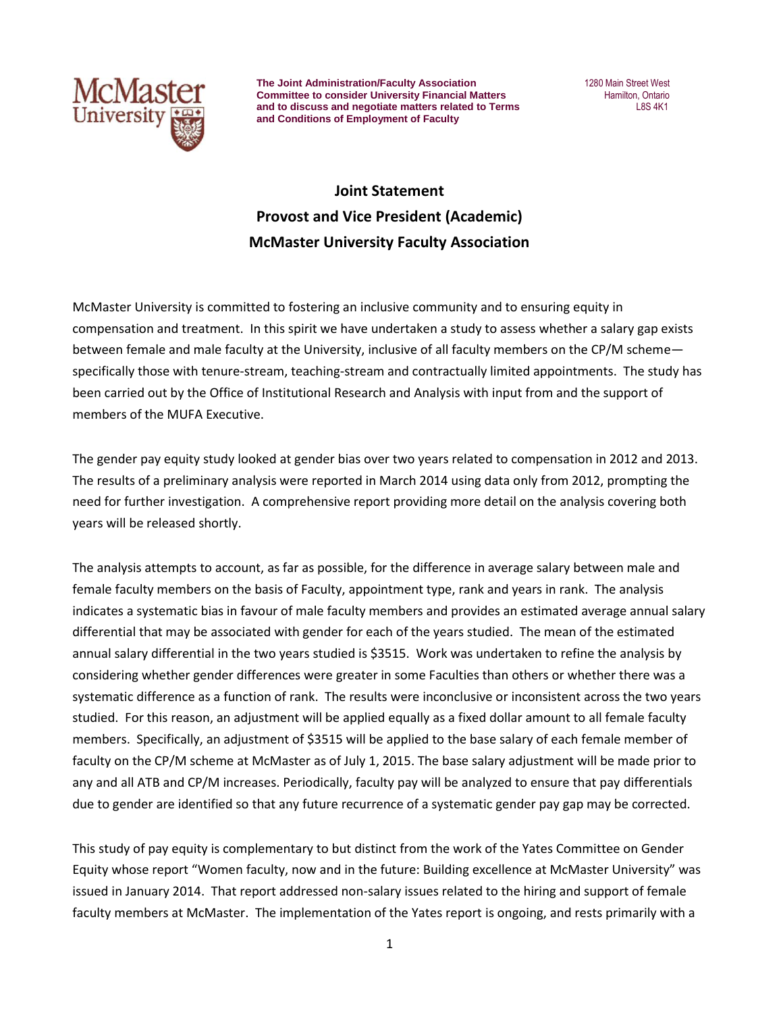

**The Joint Administration/Faculty Association** 1280 Main Street West **Committee to consider University Financial Matters <b>Financial Matters** Hamilton, Ontario and to discuss and negotiate matters related to Terms LAS4K1 and to discuss and negotiate matters related to Terms **and Conditions of Employment of Faculty**

## **Joint Statement Provost and Vice President (Academic) McMaster University Faculty Association**

McMaster University is committed to fostering an inclusive community and to ensuring equity in compensation and treatment. In this spirit we have undertaken a study to assess whether a salary gap exists between female and male faculty at the University, inclusive of all faculty members on the CP/M scheme specifically those with tenure-stream, teaching-stream and contractually limited appointments. The study has been carried out by the Office of Institutional Research and Analysis with input from and the support of members of the MUFA Executive.

The gender pay equity study looked at gender bias over two years related to compensation in 2012 and 2013. The results of a preliminary analysis were reported in March 2014 using data only from 2012, prompting the need for further investigation. A comprehensive report providing more detail on the analysis covering both years will be released shortly.

The analysis attempts to account, as far as possible, for the difference in average salary between male and female faculty members on the basis of Faculty, appointment type, rank and years in rank. The analysis indicates a systematic bias in favour of male faculty members and provides an estimated average annual salary differential that may be associated with gender for each of the years studied. The mean of the estimated annual salary differential in the two years studied is \$3515. Work was undertaken to refine the analysis by considering whether gender differences were greater in some Faculties than others or whether there was a systematic difference as a function of rank. The results were inconclusive or inconsistent across the two years studied. For this reason, an adjustment will be applied equally as a fixed dollar amount to all female faculty members. Specifically, an adjustment of \$3515 will be applied to the base salary of each female member of faculty on the CP/M scheme at McMaster as of July 1, 2015. The base salary adjustment will be made prior to any and all ATB and CP/M increases. Periodically, faculty pay will be analyzed to ensure that pay differentials due to gender are identified so that any future recurrence of a systematic gender pay gap may be corrected.

This study of pay equity is complementary to but distinct from the work of the Yates Committee on Gender Equity whose report "Women faculty, now and in the future: Building excellence at McMaster University" was issued in January 2014. That report addressed non-salary issues related to the hiring and support of female faculty members at McMaster. The implementation of the Yates report is ongoing, and rests primarily with a